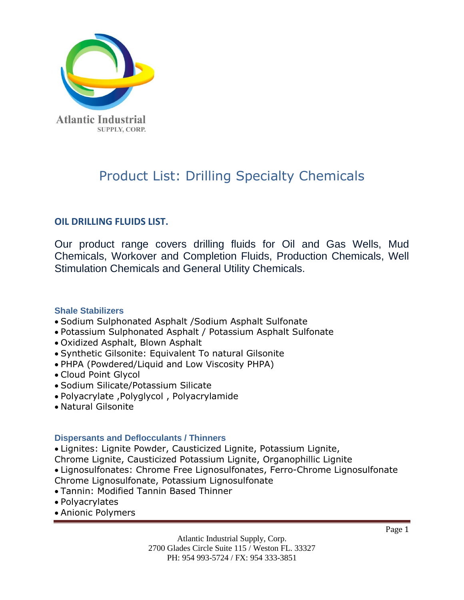

# Product List: Drilling Specialty Chemicals

## **OIL DRILLING FLUIDS LIST.**

Our product range covers drilling fluids for Oil and Gas Wells, Mud Chemicals, Workover and Completion Fluids, Production Chemicals, Well Stimulation Chemicals and General Utility Chemicals.

## **Shale Stabilizers**

- Sodium Sulphonated Asphalt /Sodium Asphalt Sulfonate
- Potassium Sulphonated Asphalt / Potassium Asphalt Sulfonate
- Oxidized Asphalt, Blown Asphalt
- Synthetic Gilsonite: Equivalent To natural Gilsonite
- PHPA (Powdered/Liquid and Low Viscosity PHPA)
- Cloud Point Glycol
- Sodium Silicate/Potassium Silicate
- Polyacrylate ,Polyglycol , Polyacrylamide
- Natural Gilsonite

### **Dispersants and Deflocculants / Thinners**

Lignites: Lignite Powder, Causticized Lignite, Potassium Lignite, Chrome Lignite, Causticized Potassium Lignite, Organophillic Lignite Lignosulfonates: Chrome Free Lignosulfonates, Ferro-Chrome Lignosulfonate Chrome Lignosulfonate, Potassium Lignosulfonate

- Tannin: Modified Tannin Based Thinner
- Polyacrylates
- Anionic Polymers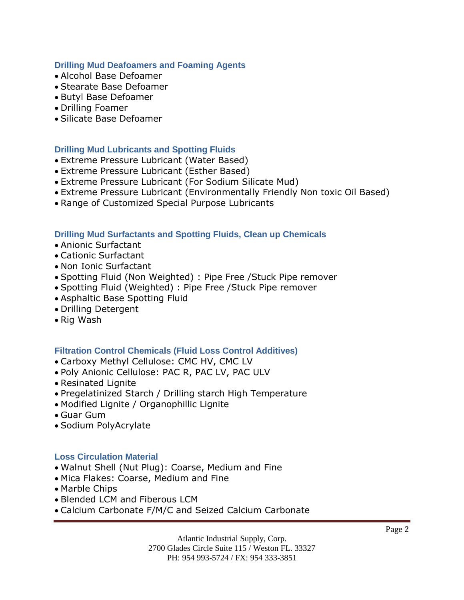### **Drilling Mud Deafoamers and Foaming Agents**

- Alcohol Base Defoamer
- Stearate Base Defoamer
- Butyl Base Defoamer
- Drilling Foamer
- Silicate Base Defoamer

## **Drilling Mud Lubricants and Spotting Fluids**

- Extreme Pressure Lubricant (Water Based)
- Extreme Pressure Lubricant (Esther Based)
- Extreme Pressure Lubricant (For Sodium Silicate Mud)
- Extreme Pressure Lubricant (Environmentally Friendly Non toxic Oil Based)
- Range of Customized Special Purpose Lubricants

## **Drilling Mud Surfactants and Spotting Fluids, Clean up Chemicals**

- Anionic Surfactant
- Cationic Surfactant
- Non Ionic Surfactant
- Spotting Fluid (Non Weighted) : Pipe Free /Stuck Pipe remover
- Spotting Fluid (Weighted) : Pipe Free /Stuck Pipe remover
- Asphaltic Base Spotting Fluid
- Drilling Detergent
- Rig Wash

## **Filtration Control Chemicals (Fluid Loss Control Additives)**

- Carboxy Methyl Cellulose: CMC HV, CMC LV
- Poly Anionic Cellulose: PAC R, PAC LV, PAC ULV
- Resinated Lignite
- Pregelatinized Starch / Drilling starch High Temperature
- Modified Lignite / Organophillic Lignite
- Guar Gum
- Sodium PolyAcrylate

### **Loss Circulation Material**

- Walnut Shell (Nut Plug): Coarse, Medium and Fine
- Mica Flakes: Coarse, Medium and Fine
- Marble Chips
- Blended LCM and Fiberous LCM
- Calcium Carbonate F/M/C and Seized Calcium Carbonate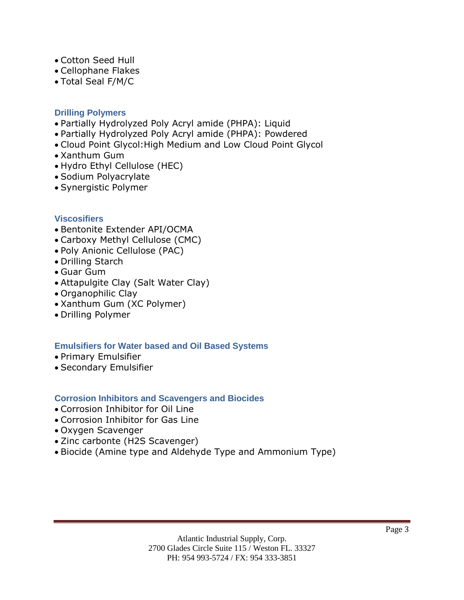- Cotton Seed Hull
- Cellophane Flakes
- Total Seal F/M/C

## **Drilling Polymers**

- Partially Hydrolyzed Poly Acryl amide (PHPA): Liquid
- Partially Hydrolyzed Poly Acryl amide (PHPA): Powdered
- Cloud Point Glycol:High Medium and Low Cloud Point Glycol
- Xanthum Gum
- Hydro Ethyl Cellulose (HEC)
- Sodium Polyacrylate
- Synergistic Polymer

## **Viscosifiers**

- Bentonite Extender API/OCMA
- Carboxy Methyl Cellulose (CMC)
- Poly Anionic Cellulose (PAC)
- Drilling Starch
- Guar Gum
- Attapulgite Clay (Salt Water Clay)
- Organophilic Clay
- Xanthum Gum (XC Polymer)
- Drilling Polymer

### **Emulsifiers for Water based and Oil Based Systems**

- Primary Emulsifier
- Secondary Emulsifier

### **Corrosion Inhibitors and Scavengers and Biocides**

- Corrosion Inhibitor for Oil Line
- Corrosion Inhibitor for Gas Line
- Oxygen Scavenger
- Zinc carbonte (H2S Scavenger)
- Biocide (Amine type and Aldehyde Type and Ammonium Type)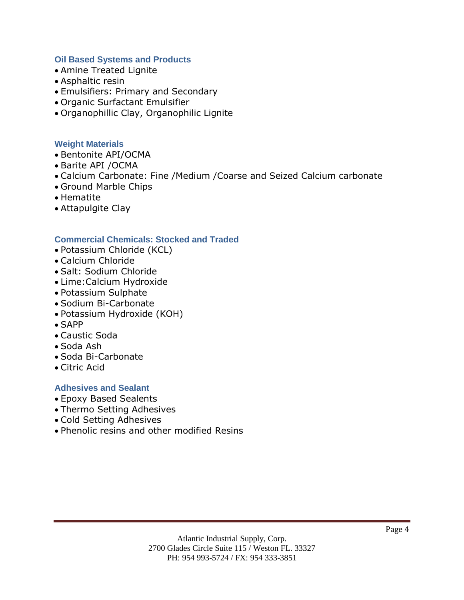## **Oil Based Systems and Products**

- Amine Treated Lignite
- Asphaltic resin
- Emulsifiers: Primary and Secondary
- Organic Surfactant Emulsifier
- Organophillic Clay, Organophilic Lignite

## **Weight Materials**

- Bentonite API/OCMA
- Barite API / OCMA
- Calcium Carbonate: Fine /Medium /Coarse and Seized Calcium carbonate
- Ground Marble Chips
- Hematite
- Attapulgite Clay

### **Commercial Chemicals: Stocked and Traded**

- Potassium Chloride (KCL)
- Calcium Chloride
- Salt: Sodium Chloride
- Lime:Calcium Hydroxide
- Potassium Sulphate
- Sodium Bi-Carbonate
- Potassium Hydroxide (KOH)
- SAPP
- Caustic Soda
- Soda Ash
- Soda Bi-Carbonate
- Citric Acid

## **Adhesives and Sealant**

- Epoxy Based Sealents
- Thermo Setting Adhesives
- Cold Setting Adhesives
- Phenolic resins and other modified Resins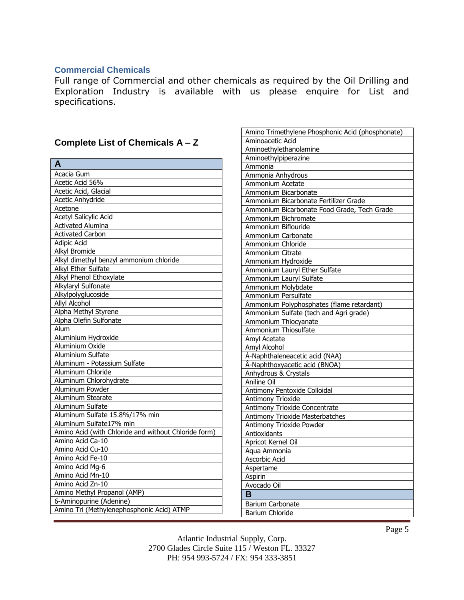#### **Commercial Chemicals**

Full range of Commercial and other chemicals as required by the Oil Drilling and Exploration Industry is available with us please enquire for List and specifications.

## **Complete List of Chemicals A – Z**

| A                                                    |
|------------------------------------------------------|
| Acacia Gum                                           |
| Acetic Acid 56%                                      |
| Acetic Acid, Glacial                                 |
| Acetic Anhydride                                     |
| Acetone                                              |
| <b>Acetyl Salicylic Acid</b>                         |
| <b>Activated Alumina</b>                             |
| <b>Activated Carbon</b>                              |
| Adipic Acid                                          |
| Alkyl Bromide                                        |
| Alkyl dimethyl benzyl ammonium chloride              |
| Alkyl Ether Sulfate                                  |
| Alkyl Phenol Ethoxylate                              |
| Alkylaryl Sulfonate                                  |
| Alkylpolyglucoside                                   |
| <b>Allyl Alcohol</b>                                 |
| Alpha Methyl Styrene                                 |
| Alpha Olefin Sulfonate                               |
| Alum                                                 |
| Aluminium Hydroxide                                  |
| Aluminium Oxide                                      |
| Aluminium Sulfate                                    |
| Aluminum - Potassium Sulfate                         |
| Aluminum Chloride                                    |
| Aluminum Chlorohydrate                               |
| Aluminum Powder                                      |
| Aluminum Stearate                                    |
| Aluminum Sulfate                                     |
| Aluminum Sulfate 15.8%/17% min                       |
| Aluminum Sulfate17% min                              |
| Amino Acid (with Chloride and without Chloride form) |
| Amino Acid Ca-10                                     |
| Amino Acid Cu-10                                     |
| Amino Acid Fe-10                                     |
| Amino Acid Mg-6                                      |
| Amino Acid Mn-10                                     |
| Amino Acid Zn-10                                     |
| Amino Methyl Propanol (AMP)                          |
| 6-Aminopurine (Adenine)                              |
| Amino Tri (Methylenephosphonic Acid) ATMP            |

| Amino Trimethylene Phosphonic Acid (phosphonate) |
|--------------------------------------------------|
| Aminoacetic Acid                                 |
| Aminoethylethanolamine                           |
| Aminoethylpiperazine                             |
| Ammonia                                          |
| Ammonia Anhydrous                                |
| Ammonium Acetate                                 |
| Ammonium Bicarbonate                             |
| Ammonium Bicarbonate Fertilizer Grade            |
| Ammonium Bicarbonate Food Grade, Tech Grade      |
| Ammonium Bichromate                              |
| Ammonium Biflouride                              |
| Ammonium Carbonate                               |
| Ammonium Chloride                                |
| Ammonium Citrate                                 |
| Ammonium Hydroxide                               |
| Ammonium Lauryl Ether Sulfate                    |
| Ammonium Lauryl Sulfate                          |
| Ammonium Molybdate                               |
| Ammonium Persulfate                              |
| Ammonium Polyphosphates (flame retardant)        |
| Ammonium Sulfate (tech and Agri grade)           |
| Ammonium Thiocyanate                             |
| Ammonium Thiosulfate                             |
| Amyl Acetate                                     |
| Amyl Alcohol                                     |
| Á-Naphthaleneacetic acid (NAA)                   |
| Â-Naphthoxyacetic acid (BNOA)                    |
| Anhydrous & Crystals                             |
| Aniline Oil                                      |
| Antimony Pentoxide Colloidal                     |
| <b>Antimony Trioxide</b>                         |
| <b>Antimony Trioxide Concentrate</b>             |
| <b>Antimony Trioxide Masterbatches</b>           |
| <b>Antimony Trioxide Powder</b>                  |
| Antioxidants                                     |
| Apricot Kernel Oil                               |
| Aqua Ammonia                                     |
| Ascorbic Acid                                    |
| Aspertame                                        |
| Aspirin                                          |
| Avocado Oil                                      |
| R                                                |
| Barium Carbonate                                 |
| Barium Chloride                                  |
|                                                  |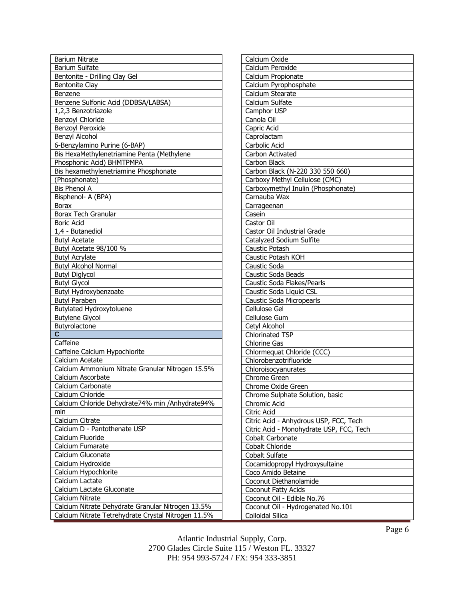| <b>Barium Nitrate</b>                               | Calcium Oxide                            |
|-----------------------------------------------------|------------------------------------------|
| <b>Barium Sulfate</b>                               | Calcium Peroxide                         |
| Bentonite - Drilling Clay Gel                       | Calcium Propionate                       |
| <b>Bentonite Clay</b>                               | Calcium Pyrophosphate                    |
| Benzene                                             | Calcium Stearate                         |
| Benzene Sulfonic Acid (DDBSA/LABSA)                 | Calcium Sulfate                          |
| 1,2,3 Benzotriazole                                 | Camphor USP                              |
| Benzoyl Chloride                                    | Canola Oil                               |
| Benzoyl Peroxide                                    | Capric Acid                              |
| Benzyl Alcohol                                      | Caprolactam                              |
| 6-Benzylamino Purine (6-BAP)                        | Carbolic Acid                            |
| Bis HexaMethylenetriamine Penta (Methylene          | Carbon Activated                         |
| Phosphonic Acid) BHMTPMPA                           | Carbon Black                             |
| Bis hexamethylenetriamine Phosphonate               | Carbon Black (N-220 330 550 660)         |
| (Phosphonate)                                       | Carboxy Methyl Cellulose (CMC)           |
| <b>Bis Phenol A</b>                                 | Carboxymethyl Inulin (Phosphonate)       |
| Bisphenol- A (BPA)                                  | Carnauba Wax                             |
| <b>Borax</b>                                        | Carrageenan                              |
| Borax Tech Granular                                 | Casein                                   |
| <b>Boric Acid</b>                                   | Castor Oil                               |
| 1,4 - Butanediol                                    | Castor Oil Industrial Grade              |
| <b>Butyl Acetate</b>                                | Catalyzed Sodium Sulfite                 |
| Butyl Acetate 98/100 %                              | Caustic Potash                           |
| <b>Butyl Acrylate</b>                               | Caustic Potash KOH                       |
| <b>Butyl Alcohol Normal</b>                         | Caustic Soda                             |
| <b>Butyl Diglycol</b>                               | Caustic Soda Beads                       |
| <b>Butyl Glycol</b>                                 | Caustic Soda Flakes/Pearls               |
| Butyl Hydroxybenzoate                               | Caustic Soda Liquid CSL                  |
| <b>Butyl Paraben</b>                                | Caustic Soda Micropearls                 |
| Butylated Hydroxytoluene                            | Cellulose Gel                            |
| <b>Butylene Glycol</b>                              | Cellulose Gum                            |
| Butyrolactone                                       | Cetyl Alcohol                            |
| C                                                   | <b>Chlorinated TSP</b>                   |
| Caffeine                                            | Chlorine Gas                             |
| Caffeine Calcium Hypochlorite                       | Chlormequat Chloride (CCC)               |
| Calcium Acetate                                     | Chlorobenzotrifluoride                   |
| Calcium Ammonium Nitrate Granular Nitrogen 15.5%    | Chloroisocyanurates                      |
| Calcium Ascorbate                                   | Chrome Green                             |
| Calcium Carbonate                                   | Chrome Oxide Green                       |
| Calcium Chloride                                    | Chrome Sulphate Solution, basic          |
| Calcium Chloride Dehydrate74% min /Anhydrate94%     | Chromic Acid                             |
| min                                                 | Citric Acid                              |
| Calcium Citrate                                     | Citric Acid - Anhydrous USP, FCC, Tech   |
| Calcium D - Pantothenate USP                        | Citric Acid - Monohydrate USP, FCC, Tech |
| Calcium Fluoride                                    | Cobalt Carbonate                         |
| Calcium Fumarate                                    | Cobalt Chloride                          |
| Calcium Gluconate                                   | Cobalt Sulfate                           |
| Calcium Hydroxide                                   | Cocamidopropyl Hydroxysultaine           |
| Calcium Hypochlorite                                | Coco Amido Betaine                       |
| Calcium Lactate                                     | Coconut Diethanolamide                   |
| Calcium Lactate Gluconate                           | Coconut Fatty Acids                      |
| Calcium Nitrate                                     | Coconut Oil - Edible No.76               |
| Calcium Nitrate Dehydrate Granular Nitrogen 13.5%   | Coconut Oil - Hydrogenated No.101        |
| Calcium Nitrate Tetrehydrate Crystal Nitrogen 11.5% | Colloidal Silica                         |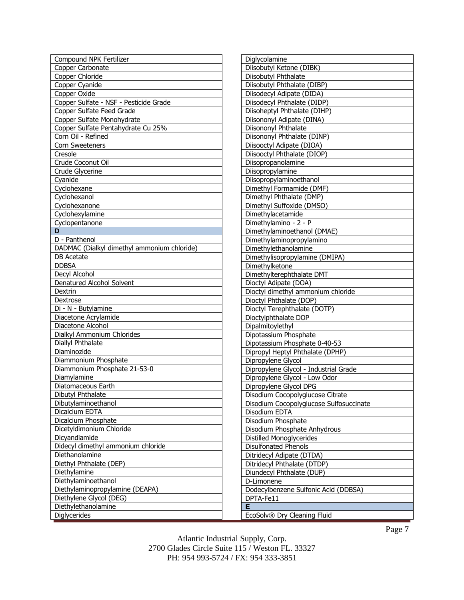| Compound NPK Fertilizer                     | Diglycolamine                           |
|---------------------------------------------|-----------------------------------------|
| Copper Carbonate                            | Diisobutyl Ketone (DIBK)                |
| Copper Chloride                             | Diisobutyl Phthalate                    |
| Copper Cyanide                              | Diisobutyl Phthalate (DIBP)             |
| Copper Oxide                                | Diisodecyl Adipate (DIDA)               |
| Copper Sulfate - NSF - Pesticide Grade      | Diisodecyl Phthalate (DIDP)             |
| Copper Sulfate Feed Grade                   | Diisoheptyl Phthalate (DIHP)            |
| Copper Sulfate Monohydrate                  | Diisononyl Adipate (DINA)               |
| Copper Sulfate Pentahydrate Cu 25%          | Diisononyl Phthalate                    |
| Corn Oil - Refined                          | Diisononyl Phthalate (DINP)             |
| <b>Corn Sweeteners</b>                      | Diisooctyl Adipate (DIOA)               |
| Cresole                                     | Diisooctyl Phthalate (DIOP)             |
| Crude Coconut Oil                           | Diisopropanolamine                      |
| Crude Glycerine                             | Diisopropylamine                        |
| Cyanide                                     | Diisopropylaminoethanol                 |
| Cyclohexane                                 | Dimethyl Formamide (DMF)                |
| Cyclohexanol                                | Dimethyl Phthalate (DMP)                |
| Cyclohexanone                               | Dimethyl Suffoxide (DMSO)               |
| Cyclohexylamine                             | Dimethylacetamide                       |
| Cyclopentanone                              | Dimethylamino - 2 - P                   |
| D                                           | Dimethylaminoethanol (DMAE)             |
| D - Panthenol                               | Dimethylaminopropylamino                |
| DADMAC (Dialkyl dimethyl ammonium chloride) | Dimethylethanolamine                    |
| <b>DB</b> Acetate                           | Dimethylisopropylamine (DMIPA)          |
| <b>DDBSA</b>                                | Dimethylketone                          |
| Decyl Alcohol                               | Dimethylterephthalate DMT               |
| Denatured Alcohol Solvent                   | Dioctyl Adipate (DOA)                   |
| Dextrin                                     | Dioctyl dimethyl ammonium chloride      |
| Dextrose                                    | Dioctyl Phthalate (DOP)                 |
| Di - N - Butylamine                         | Dioctyl Terephthalate (DOTP)            |
| Diacetone Acrylamide                        | Dioctylphthalate DOP                    |
| Diacetone Alcohol                           | Dipalmitoylethyl                        |
| Dialkyl Ammonium Chlorides                  | Dipotassium Phosphate                   |
| Diallyl Phthalate                           | Dipotassium Phosphate 0-40-53           |
| Diaminozide                                 | Dipropyl Heptyl Phthalate (DPHP)        |
| Diammonium Phosphate                        | Dipropylene Glycol                      |
| Diammonium Phosphate 21-53-0                | Dipropylene Glycol - Industrial Grade   |
| Diamylamine                                 | Dipropylene Glycol - Low Odor           |
| Diatomaceous Earth                          | Dipropylene Glycol DPG                  |
| Dibutyl Phthalate                           | Disodium Cocopolyglucose Citrate        |
| Dibutylaminoethanol                         | Disodium Cocopolyglucose Sulfosuccinate |
| Dicalcium EDTA                              | Disodium EDTA                           |
| Dicalcium Phosphate                         | Disodium Phosphate                      |
| Dicetyldimonium Chloride                    | Disodium Phosphate Anhydrous            |
| Dicyandiamide                               | <b>Distilled Monoglycerides</b>         |
| Didecyl dimethyl ammonium chloride          | <b>Disulfonated Phenols</b>             |
| Diethanolamine                              | Ditridecyl Adipate (DTDA)               |
| Diethyl Phthalate (DEP)                     | Ditridecyl Phthalate (DTDP)             |
| Diethylamine                                | Diundecyl Phthalate (DUP)               |
| Diethylaminoethanol                         | D-Limonene                              |
| Diethylaminopropylamine (DEAPA)             | Dodecylbenzene Sulfonic Acid (DDBSA)    |
| Diethylene Glycol (DEG)                     | DPTA-Fe11                               |
| Diethylethanolamine                         | Е                                       |
| Diglycerides                                | EcoSolv® Dry Cleaning Fluid             |

Page 7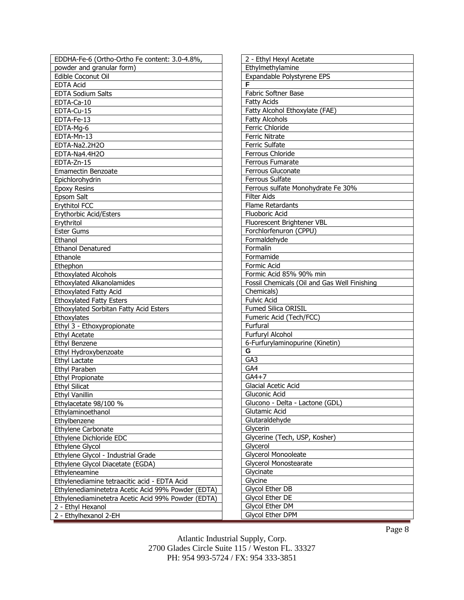| EDDHA-Fe-6 (Ortho-Ortho Fe content: 3.0-4.8%,      | 2              |
|----------------------------------------------------|----------------|
| powder and granular form)                          | E              |
| Edible Coconut Oil                                 | E)             |
| <b>EDTA Acid</b>                                   | F              |
| EDTA Sodium Salts                                  | F.             |
| EDTA-Ca-10                                         | F <sub>0</sub> |
| EDTA-Cu-15                                         | F              |
| EDTA-Fe-13                                         | F              |
| EDTA-Mg-6                                          | F <sub>0</sub> |
| EDTA-Mn-13                                         | F <sub>0</sub> |
| EDTA-Na2.2H2O                                      | F              |
| EDTA-Na4.4H2O                                      | F              |
| EDTA-Zn-15                                         | F              |
| <b>Emamectin Benzoate</b>                          | F <sub>0</sub> |
| Epichlorohydrin                                    | F              |
| <b>Epoxy Resins</b>                                | F <sub>0</sub> |
| Epsom Salt                                         | Fi             |
| Erythitol FCC                                      | F              |
| Erythorbic Acid/Esters                             | F              |
| Erythritol                                         | F              |
| <b>Ester Gums</b>                                  | F              |
| Ethanol                                            | F              |
| <b>Ethanol Denatured</b>                           | F              |
| Ethanole                                           | F              |
| Ethephon                                           | F <sub>0</sub> |
| <b>Ethoxylated Alcohols</b>                        | F              |
| Ethoxylated Alkanolamides                          | F <sub>0</sub> |
| <b>Ethoxylated Fatty Acid</b>                      | C              |
| <b>Ethoxylated Fatty Esters</b>                    | F <sub>0</sub> |
| Ethoxylated Sorbitan Fatty Acid Esters             | F              |
| Ethoxylates                                        | F              |
| Ethyl 3 - Ethoxypropionate                         | F              |
| Ethyl Acetate                                      | F              |
| Ethyl Benzene                                      | 6              |
| Ethyl Hydroxybenzoate                              | G              |
| <b>Ethyl Lactate</b>                               | G              |
| Ethyl Paraben                                      | G              |
| <b>Ethyl Propionate</b>                            | G              |
| <b>Ethyl Silicat</b>                               | G              |
| Ethyl Vanillin                                     | G              |
| Ethylacetate 98/100 %                              | G              |
| Ethylaminoethanol                                  | G              |
| Ethylbenzene                                       | G              |
| Ethylene Carbonate                                 | G              |
| Ethylene Dichloride EDC                            | G              |
| Ethylene Glycol                                    | G              |
| Ethylene Glycol - Industrial Grade                 | G              |
| Ethylene Glycol Diacetate (EGDA)                   | G              |
| Ethyleneamine                                      | G              |
| Ethylenediamine tetraacitic acid - EDTA Acid       | G              |
| Ethylenediaminetetra Acetic Acid 99% Powder (EDTA) | G              |
| Ethylenediaminetetra Acetic Acid 99% Powder (EDTA) | G              |
| 2 - Ethyl Hexanol                                  | G              |
| 2 - Ethylhexanol 2-EH                              | G              |

| 2 - Ethyl Hexyl Acetate                      |
|----------------------------------------------|
| Ethylmethylamine                             |
| Expandable Polystyrene EPS                   |
| F                                            |
| Fabric Softner Base                          |
| <b>Fatty Acids</b>                           |
| Fatty Alcohol Ethoxylate (FAE)               |
| <b>Fatty Alcohols</b>                        |
| Ferric Chloride                              |
| <b>Ferric Nitrate</b>                        |
| Ferric Sulfate                               |
| Ferrous Chloride                             |
| Ferrous Fumarate                             |
| Ferrous Gluconate                            |
| Ferrous Sulfate                              |
| Ferrous sulfate Monohydrate Fe 30%           |
| <b>Filter Aids</b>                           |
| <b>Flame Retardants</b>                      |
| Fluoboric Acid                               |
| Fluorescent Brightener VBL                   |
| Forchlorfenuron (CPPU)                       |
| Formaldehyde                                 |
| Formalin                                     |
| Formamide                                    |
| Formic Acid                                  |
| Formic Acid 85% 90% min                      |
| Fossil Chemicals (Oil and Gas Well Finishing |
| Chemicals)                                   |
| <b>Fulvic Acid</b>                           |
| <b>Fumed Silica ORISIL</b>                   |
| Fumeric Acid (Tech/FCC)                      |
| Furfural                                     |
| Furfuryl Alcohol                             |
| 6-Furfurylaminopurine (Kinetin)              |
| G                                            |
| GA <sub>3</sub>                              |
| GA4                                          |
| $GA4+7$                                      |
| <b>Glacial Acetic Acid</b>                   |
| Gluconic Acid                                |
| Glucono - Delta - Lactone (GDL)              |
| Glutamic Acid                                |
| Glutaraldehyde                               |
| Glycerin                                     |
| Glycerine (Tech, USP, Kosher)                |
| Glycerol                                     |
| Glycerol Monooleate                          |
| Glycerol Monostearate                        |
| Glycinate                                    |
| Glycine                                      |
| Glycol Ether DB                              |
| Glycol Ether DE                              |
| Glycol Ether DM                              |
| <b>Glycol Ether DPM</b>                      |
|                                              |

Page 8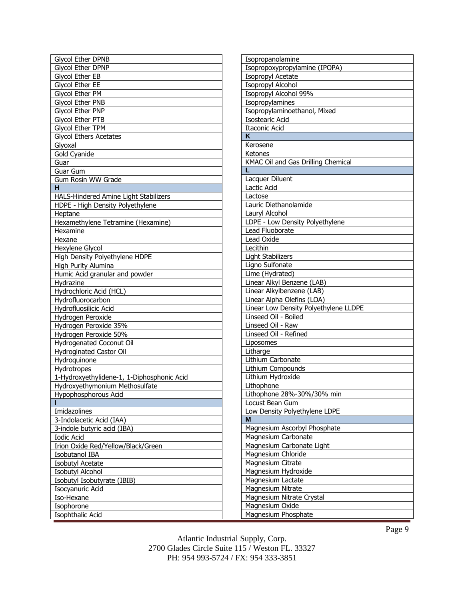| <b>Glycol Ether DPNB</b>                   | Isoprop         |
|--------------------------------------------|-----------------|
| Glycol Ether DPNP                          | Isoprop         |
| Glycol Ether EB                            | Isoprop         |
| <b>Glycol Ether EE</b>                     | Isoprop         |
| <b>Glycol Ether PM</b>                     | Isoprop         |
| <b>Glycol Ether PNB</b>                    | Isoprop         |
| Glycol Ether PNP                           | Isoprop         |
| Glycol Ether PTB                           | Isostear        |
| Glycol Ether TPM                           | Itaconic        |
| <b>Glycol Ethers Acetates</b>              | K               |
| Glyoxal                                    | Kerosen         |
| Gold Cyanide                               | Ketones         |
| Guar                                       | <b>KMAC C</b>   |
| Guar Gum                                   | L.              |
| Gum Rosin WW Grade                         | Lacquer         |
| н                                          | Lactic A        |
| HALS-Hindered Amine Light Stabilizers      | Lactose         |
| HDPE - High Density Polyethylene           | Lauric D        |
| Heptane                                    | Lauryl A        |
| Hexamethylene Tetramine (Hexamine)         | $LDPE -$        |
| Hexamine                                   | Lead Flu        |
| Hexane                                     | Lead Ox         |
| Hexylene Glycol                            | Lecithin        |
| High Density Polyethylene HDPE             | Light St        |
| <b>High Purity Alumina</b>                 | Ligno St        |
| Humic Acid granular and powder             | Lime (H         |
| Hydrazine                                  | Linear A        |
| Hydrochloric Acid (HCL)                    | Linear A        |
| Hydrofluorocarbon                          | Linear A        |
| Hydrofluosilicic Acid                      | Linear L        |
| Hydrogen Peroxide                          | Linseed         |
| Hydrogen Peroxide 35%                      | Linseed         |
| Hydrogen Peroxide 50%                      | Linseed         |
| <b>Hydrogenated Coconut Oil</b>            | Liposon         |
| <b>Hydroginated Castor Oil</b>             | Litharge        |
| Hydroquinone                               | Lithium         |
| Hydrotropes                                | Lithium         |
| 1-Hydroxyethylidene-1, 1-Diphosphonic Acid | Lithium         |
| Hydroxyethymonium Methosulfate             | Lithoph         |
| Hypophosphorous Acid                       | Lithophe        |
|                                            | Locust <b>F</b> |
| Imidazolines                               | Low De          |
| 3-Indolacetic Acid (IAA)                   | M               |
| 3-indole butyric acid (IBA)                | Magnes          |
| <b>Iodic Acid</b>                          | Magnes          |
| Irion Oxide Red/Yellow/Black/Green         | Magnes          |
| Isobutanol IBA                             | Magnes          |
| <b>Isobutyl Acetate</b>                    | Magnes          |
| <b>Isobutyl Alcohol</b>                    | Magnes          |
| Isobutyl Isobutyrate (IBIB)                | Magnes          |
| Isocyanuric Acid                           | Magnes          |
| Iso-Hexane                                 | Magnes          |
| Isophorone                                 | Magnes          |
| Isophthalic Acid                           | Magnes          |

| Isopropoxypropylamine (IPOPA)<br>Isopropyl Acetate<br>Isopropyl Alcohol<br>Isopropyl Alcohol 99%<br>Isopropylamines<br>Isopropylaminoethanol, Mixed<br><b>Isostearic Acid</b><br><b>Itaconic Acid</b><br>K<br>Kerosene<br>Ketones |
|-----------------------------------------------------------------------------------------------------------------------------------------------------------------------------------------------------------------------------------|
|                                                                                                                                                                                                                                   |
|                                                                                                                                                                                                                                   |
|                                                                                                                                                                                                                                   |
|                                                                                                                                                                                                                                   |
|                                                                                                                                                                                                                                   |
|                                                                                                                                                                                                                                   |
|                                                                                                                                                                                                                                   |
|                                                                                                                                                                                                                                   |
|                                                                                                                                                                                                                                   |
|                                                                                                                                                                                                                                   |
|                                                                                                                                                                                                                                   |
| <b>KMAC Oil and Gas Drilling Chemical</b>                                                                                                                                                                                         |
| L                                                                                                                                                                                                                                 |
| Lacquer Diluent                                                                                                                                                                                                                   |
| Lactic Acid                                                                                                                                                                                                                       |
| Lactose                                                                                                                                                                                                                           |
| Lauric Diethanolamide                                                                                                                                                                                                             |
| Lauryl Alcohol                                                                                                                                                                                                                    |
| LDPE - Low Density Polyethylene                                                                                                                                                                                                   |
| Lead Fluoborate                                                                                                                                                                                                                   |
| Lead Oxide                                                                                                                                                                                                                        |
| Lecithin                                                                                                                                                                                                                          |
| <b>Light Stabilizers</b>                                                                                                                                                                                                          |
| Ligno Sulfonate                                                                                                                                                                                                                   |
| Lime (Hydrated)                                                                                                                                                                                                                   |
| Linear Alkyl Benzene (LAB)                                                                                                                                                                                                        |
| Linear Alkylbenzene (LAB)                                                                                                                                                                                                         |
| Linear Alpha Olefins (LOA)                                                                                                                                                                                                        |
| Linear Low Density Polyethylene LLDPE                                                                                                                                                                                             |
| Linseed Oil - Boiled                                                                                                                                                                                                              |
| Linseed Oil - Raw                                                                                                                                                                                                                 |
| Linseed Oil - Refined                                                                                                                                                                                                             |
| Liposomes                                                                                                                                                                                                                         |
| Litharge                                                                                                                                                                                                                          |
| Lithium Carbonate                                                                                                                                                                                                                 |
| Lithium Compounds                                                                                                                                                                                                                 |
| Lithium Hydroxide                                                                                                                                                                                                                 |
| Lithophone                                                                                                                                                                                                                        |
| Lithophone 28%-30%/30% min                                                                                                                                                                                                        |
| Locust Bean Gum                                                                                                                                                                                                                   |
| Low Density Polyethylene LDPE                                                                                                                                                                                                     |
| M                                                                                                                                                                                                                                 |
| Magnesium Ascorbyl Phosphate                                                                                                                                                                                                      |
| Magnesium Carbonate                                                                                                                                                                                                               |
| Magnesium Carbonate Light                                                                                                                                                                                                         |
| Magnesium Chloride                                                                                                                                                                                                                |
| Magnesium Citrate                                                                                                                                                                                                                 |
| Magnesium Hydroxide                                                                                                                                                                                                               |
| Magnesium Lactate                                                                                                                                                                                                                 |
| Magnesium Nitrate                                                                                                                                                                                                                 |
| Magnesium Nitrate Crystal                                                                                                                                                                                                         |
| Magnesium Oxide                                                                                                                                                                                                                   |
| Magnesium Phosphate                                                                                                                                                                                                               |

Page 9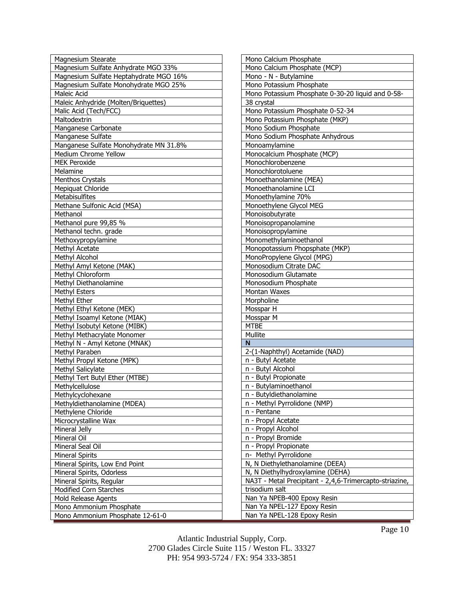| <b>Magnesium Stearate</b>                             | Mono Calcium Phosphate                                                                      |
|-------------------------------------------------------|---------------------------------------------------------------------------------------------|
| Magnesium Sulfate Anhydrate MGO 33%                   | Mono Calcium Phosphate (MCP)                                                                |
| Magnesium Sulfate Heptahydrate MGO 16%                | Mono - N - Butylamine                                                                       |
| Magnesium Sulfate Monohydrate MGO 25%                 | Mono Potassium Phosphate                                                                    |
| Maleic Acid                                           | Mono Potassium Phosphate 0-30-20 liquid and 0-58-                                           |
| Maleic Anhydride (Molten/Briquettes)                  | 38 crystal                                                                                  |
| Malic Acid (Tech/FCC)                                 | Mono Potassium Phosphate 0-52-34                                                            |
| Maltodextrin                                          | Mono Potassium Phosphate (MKP)                                                              |
| Manganese Carbonate                                   | Mono Sodium Phosphate                                                                       |
| Manganese Sulfate                                     | Mono Sodium Phosphate Anhydrous                                                             |
| Manganese Sulfate Monohydrate MN 31.8%                | Monoamylamine                                                                               |
| Medium Chrome Yellow                                  | Monocalcium Phosphate (MCP)                                                                 |
| <b>MEK Peroxide</b>                                   | Monochlorobenzene                                                                           |
| Melamine                                              | Monochlorotoluene                                                                           |
| Menthos Crystals                                      | Monoethanolamine (MEA)                                                                      |
| Mepiquat Chloride                                     | Monoethanolamine LCI                                                                        |
| Metabisulfites                                        | Monoethylamine 70%                                                                          |
| Methane Sulfonic Acid (MSA)                           | Monoethylene Glycol MEG                                                                     |
| Methanol                                              | Monoisobutyrate                                                                             |
| Methanol pure 99,85 %                                 | Monoisopropanolamine                                                                        |
| Methanol techn. grade                                 | Monoisopropylamine                                                                          |
| Methoxypropylamine                                    | Monomethylaminoethanol                                                                      |
| Methyl Acetate                                        | Monopotassium Phopsphate (MKP)                                                              |
| Methyl Alcohol                                        | MonoPropylene Glycol (MPG)                                                                  |
| Methyl Amyl Ketone (MAK)                              | Monosodium Citrate DAC                                                                      |
| Methyl Chloroform                                     | Monosodium Glutamate                                                                        |
| Methyl Diethanolamine                                 | Monosodium Phosphate                                                                        |
| Methyl Esters                                         | Montan Waxes                                                                                |
| Methyl Ether                                          | Morpholine                                                                                  |
| Methyl Ethyl Ketone (MEK)                             | Mosspar H                                                                                   |
| Methyl Isoamyl Ketone (MIAK)                          | Mosspar M                                                                                   |
| Methyl Isobutyl Ketone (MIBK)                         | <b>MTBE</b>                                                                                 |
| Methyl Methacrylate Monomer                           | Mullite                                                                                     |
| Methyl N - Amyl Ketone (MNAK)                         | N                                                                                           |
| Methyl Paraben                                        | 2-(1-Naphthyl) Acetamide (NAD)                                                              |
| Methyl Propyl Ketone (MPK)                            | n - Butyl Acetate                                                                           |
| Methyl Salicylate                                     | n - Butyl Alcohol                                                                           |
| Methyl Tert Butyl Ether (MTBE)                        | n - Butyl Propionate                                                                        |
| Methylcellulose                                       | n - Butylaminoethanol                                                                       |
| Methylcyclohexane                                     | n - Butyldiethanolamine                                                                     |
| Methyldiethanolamine (MDEA)                           | n - Methyl Pyrrolidone (NMP)                                                                |
| Methylene Chloride                                    | n - Pentane                                                                                 |
| Microcrystalline Wax                                  | n - Propyl Acetate                                                                          |
| Mineral Jelly                                         | n - Propyl Alcohol                                                                          |
| Mineral Oil                                           | n - Propyl Bromide                                                                          |
| Mineral Seal Oil                                      | n - Propyl Propionate                                                                       |
| <b>Mineral Spirits</b>                                | n- Methyl Pyrrolidone                                                                       |
| Mineral Spirits, Low End Point                        | N, N Diethylethanolamine (DEEA)                                                             |
| Mineral Spirits, Odorless<br>Mineral Spirits, Regular | N, N Diethylhydroxylamine (DEHA)<br>NA3T - Metal Precipitant - 2,4,6-Trimercapto-striazine, |
| Modified Corn Starches                                | trisodium salt                                                                              |
| Mold Release Agents                                   | Nan Ya NPEB-400 Epoxy Resin                                                                 |
| Mono Ammonium Phosphate                               | Nan Ya NPEL-127 Epoxy Resin                                                                 |
| Mono Ammonium Phosphate 12-61-0                       | Nan Ya NPEL-128 Epoxy Resin                                                                 |
|                                                       |                                                                                             |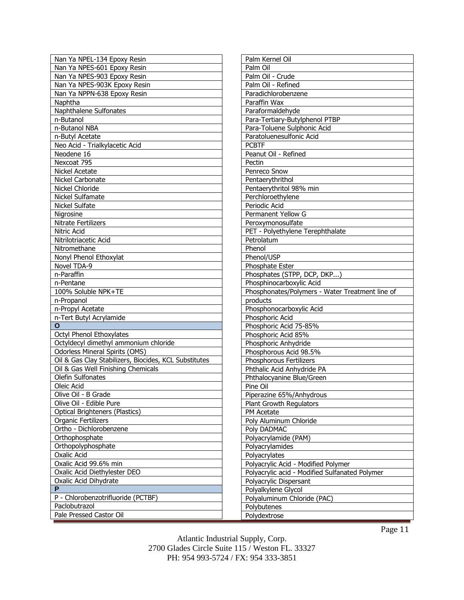| Nan Ya NPEL-134 Epoxy Resin                           | Palm Kernel Oil                                 |
|-------------------------------------------------------|-------------------------------------------------|
| Nan Ya NPES-601 Epoxy Resin                           | Palm Oil                                        |
| Nan Ya NPES-903 Epoxy Resin                           | Palm Oil - Crude                                |
| Nan Ya NPES-903K Epoxy Resin                          | Palm Oil - Refined                              |
| Nan Ya NPPN-638 Epoxy Resin                           | Paradichlorobenzene                             |
| Naphtha                                               | Paraffin Wax                                    |
| Naphthalene Sulfonates                                | Paraformaldehyde                                |
| n-Butanol                                             | Para-Tertiary-Butylphenol PTBP                  |
| n-Butanol NBA                                         | Para-Toluene Sulphonic Acid                     |
| n-Butyl Acetate                                       | Paratoluenesulfonic Acid                        |
| Neo Acid - Trialkylacetic Acid                        | <b>PCBTF</b>                                    |
| Neodene 16                                            | Peanut Oil - Refined                            |
| Nexcoat 795                                           | Pectin                                          |
| Nickel Acetate                                        | Penreco Snow                                    |
| Nickel Carbonate                                      | Pentaerythrithol                                |
| Nickel Chloride                                       | Pentaerythritol 98% min                         |
| Nickel Sulfamate                                      | Perchloroethylene                               |
| Nickel Sulfate                                        | Periodic Acid                                   |
| Nigrosine                                             | Permanent Yellow G                              |
| Nitrate Fertilizers                                   | Peroxymonosulfate                               |
| Nitric Acid                                           | PET - Polyethylene Terephthalate                |
| Nitrilotriacetic Acid                                 | Petrolatum                                      |
| Nitromethane                                          | Phenol                                          |
| Nonyl Phenol Ethoxylat                                | Phenol/USP                                      |
| Novel TDA-9                                           | Phosphate Ester                                 |
| n-Paraffin                                            | Phosphates (STPP, DCP, DKP)                     |
| n-Pentane                                             | Phosphinocarboxylic Acid                        |
| 100% Soluble NPK+TE                                   | Phosphonates/Polymers - Water Treatment line of |
| n-Propanol                                            | products                                        |
| n-Propyl Acetate                                      | Phosphonocarboxylic Acid                        |
| n-Tert Butyl Acrylamide                               | Phosphoric Acid                                 |
| $\mathbf{o}$                                          | Phosphoric Acid 75-85%                          |
| Octyl Phenol Ethoxylates                              | Phosphoric Acid 85%                             |
| Octyldecyl dimethyl ammonium chloride                 | Phosphoric Anhydride                            |
| <b>Odorless Mineral Spirits (OMS)</b>                 | Phosphorous Acid 98.5%                          |
| Oil & Gas Clay Stabilizers, Biocides, KCL Substitutes | Phosphorous Fertilizers                         |
| Oil & Gas Well Finishing Chemicals                    | Phthalic Acid Anhydride PA                      |
| Olefin Sulfonates                                     | Phthalocyanine Blue/Green                       |
| Oleic Acid                                            | Pine Oil                                        |
| Olive Oil - B Grade                                   | Piperazine 65%/Anhydrous                        |
| Olive Oil - Edible Pure                               | <b>Plant Growth Regulators</b>                  |
| <b>Optical Brighteners (Plastics)</b>                 | PM Acetate                                      |
| Organic Fertilizers                                   | Poly Aluminum Chloride                          |
| Ortho - Dichlorobenzene                               | Poly DADMAC                                     |
| Orthophosphate                                        | Polyacrylamide (PAM)                            |
| Orthopolyphosphate                                    | Polyacrylamides                                 |
| Oxalic Acid                                           | Polyacrylates                                   |
| Oxalic Acid 99.6% min                                 | Polyacrylic Acid - Modified Polymer             |
| Oxalic Acid Diethylester DEO                          | Polyacrylic acid - Modified Sulfanated Polymer  |
| Oxalic Acid Dihydrate<br>P                            | Polyacrylic Dispersant                          |
| P - Chlorobenzotrifluoride (PCTBF)                    | Polyalkylene Glycol                             |
| Paclobutrazol                                         | Polyaluminum Chloride (PAC)                     |
| Pale Pressed Castor Oil                               | Polybutenes                                     |
|                                                       | Polydextrose                                    |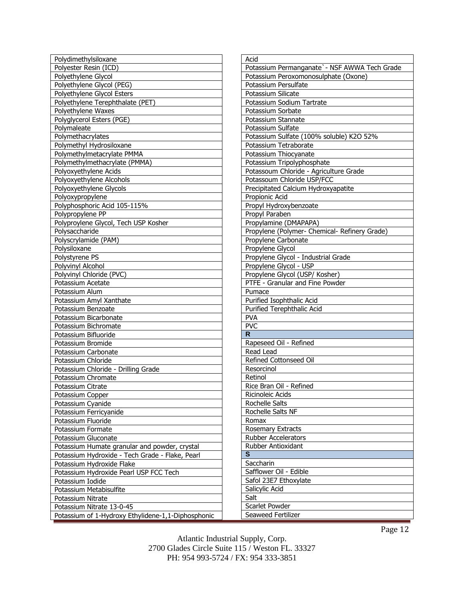| Polydimethylsiloxane                               | Acid                                                   |
|----------------------------------------------------|--------------------------------------------------------|
| Polyester Resin (ICD)                              | Potassium Permanganate' - NSF AWWA Tech Grade          |
| Polyethylene Glycol                                | Potassium Peroxomonosulphate (Oxone)                   |
| Polyethylene Glycol (PEG)                          | Potassium Persulfate                                   |
| Polyethylene Glycol Esters                         | Potassium Silicate                                     |
| Polyethylene Terephthalate (PET)                   | Potassium Sodium Tartrate                              |
| Polyethylene Waxes                                 | Potassium Sorbate                                      |
| Polyglycerol Esters (PGE)                          | Potassium Stannate                                     |
| Polymaleate                                        | Potassium Sulfate                                      |
| Polymethacrylates                                  | Potassium Sulfate (100% soluble) K2O 52%               |
| Polymethyl Hydrosiloxane                           | Potassium Tetraborate                                  |
| Polymethylmetacrylate PMMA                         | Potassium Thiocyanate                                  |
| Polymethylmethacrylate (PMMA)                      | Potassium Tripolyphosphate                             |
| Polyoxyethylene Acids                              | Potassoum Chloride - Agriculture Grade                 |
| Polyoxyethylene Alcohols                           | Potassoum Chloride USP/FCC                             |
| Polyoxyethylene Glycols                            | Precipitated Calcium Hydroxyapatite                    |
| Polyoxypropylene                                   | Propionic Acid                                         |
| Polyphosphoric Acid 105-115%                       | Propyl Hydroxybenzoate                                 |
| Polypropylene PP                                   | Propyl Paraben                                         |
| Polyproylene Glycol, Tech USP Kosher               | Propylamine (DMAPAPA)                                  |
| Polysaccharide                                     | Propylene (Polymer- Chemical- Refinery Grade)          |
| Polyscrylamide (PAM)                               | Propylene Carbonate                                    |
| Polysiloxane                                       | Propylene Glycol                                       |
| Polystyrene PS                                     | Propylene Glycol - Industrial Grade                    |
| Polyvinyl Alcohol                                  | Propylene Glycol - USP                                 |
| Polyvinyl Chloride (PVC)                           | Propylene Glycol (USP/ Kosher)                         |
| Potassium Acetate                                  | PTFE - Granular and Fine Powder                        |
| Potassium Alum                                     | Pumace                                                 |
| Potassium Amyl Xanthate                            | Purified Isophthalic Acid                              |
| Potassium Benzoate                                 | Purified Terephthalic Acid                             |
| Potassium Bicarbonate                              | <b>PVA</b>                                             |
| Potassium Bichromate                               | PVC                                                    |
| Potassium Bifluoride                               | R.                                                     |
| Potassium Bromide                                  | Rapeseed Oil - Refined                                 |
| Potassium Carbonate                                | Read Lead                                              |
| Potassium Chloride                                 | Refined Cottonseed Oil                                 |
| Potassium Chloride - Drilling Grade                | Resorcinol                                             |
| Potassium Chromate                                 | Retinol                                                |
| Potassium Citrate                                  | Rice Bran Oil - Refined                                |
|                                                    | Ricinoleic Acids                                       |
| Potassium Copper                                   | Rochelle Salts                                         |
| Potassium Cyanide                                  | Rochelle Salts NF                                      |
| Potassium Ferricyanide                             | Romax                                                  |
| Potassium Fluoride                                 |                                                        |
| Potassium Formate                                  | <b>Rosemary Extracts</b><br><b>Rubber Accelerators</b> |
| Potassium Gluconate                                |                                                        |
| Potassium Humate granular and powder, crystal      | Rubber Antioxidant<br>$\mathbf{s}$                     |
| Potassium Hydroxide - Tech Grade - Flake, Pearl    |                                                        |
| Potassium Hydroxide Flake                          | Saccharin                                              |
| Potassium Hydroxide Pearl USP FCC Tech             | Safflower Oil - Edible                                 |
| Potassium Iodide                                   | Safol 23E7 Ethoxylate                                  |
| Potassium Metabisulfite                            | Salicylic Acid                                         |
| Potassium Nitrate                                  | Salt                                                   |
| Potassium Nitrate 13-0-45                          | Scarlet Powder                                         |
| Potassium of 1-Hydroxy Ethylidene-1,1-Diphosphonic | Seaweed Fertilizer                                     |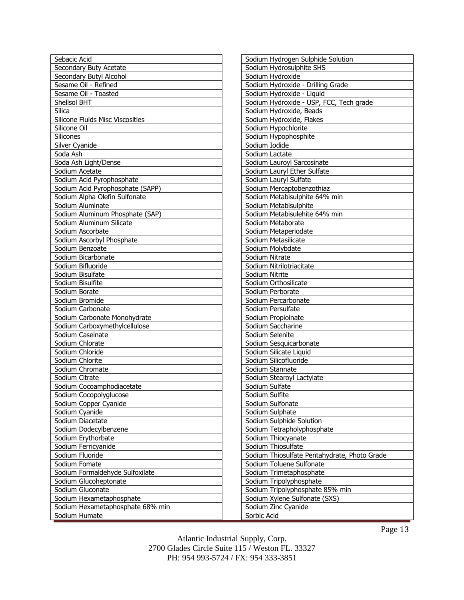| Sebacic Acid                            | Sodium Hydrogen Sulphide Solution            |
|-----------------------------------------|----------------------------------------------|
| Secondary Buty Acetate                  | Sodium Hydrosulphite SHS                     |
| Secondary Butyl Alcohol                 | Sodium Hydroxide                             |
| Sesame Oil - Refined                    | Sodium Hydroxide - Drilling Grade            |
| Sesame Oil - Toasted                    | Sodium Hydroxide - Liquid                    |
| Shellsol BHT                            | Sodium Hydroxide - USP, FCC, Tech grade      |
| Silica                                  | Sodium Hydroxide, Beads                      |
| <b>Silicone Fluids Misc Viscosities</b> | Sodium Hydroxide, Flakes                     |
| Silicone Oil                            | Sodium Hypochlorite                          |
| <b>Silicones</b>                        | Sodium Hypophosphite                         |
| Silver Cyanide                          | Sodium Iodide                                |
| Soda Ash                                | Sodium Lactate                               |
| Soda Ash Light/Dense                    | Sodium Lauroyl Sarcosinate                   |
| Sodium Acetate                          | Sodium Lauryl Ether Sulfate                  |
| Sodium Acid Pyrophosphate               | Sodium Lauryl Sulfate                        |
| Sodium Acid Pyrophosphate (SAPP)        | Sodium Mercaptobenzothiaz                    |
| Sodium Alpha Olefin Sulfonate           | Sodium Metabisulphite 64% min                |
| Sodium Aluminate                        | Sodium Metabisulphite                        |
| Sodium Aluminum Phosphate (SAP)         | Sodium Metabisulehite 64% min                |
| Sodium Aluminum Silicate                | Sodium Metaborate                            |
| Sodium Ascorbate                        | Sodium Metaperiodate                         |
| Sodium Ascorbyl Phosphate               | Sodium Metasilicate                          |
| Sodium Benzoate                         | Sodium Molybdate                             |
| Sodium Bicarbonate                      | Sodium Nitrate                               |
| Sodium Bifluoride                       | Sodium Nitrilotriacitate                     |
| Sodium Bisulfate                        | Sodium Nitrite                               |
| Sodium Bisulfite                        | Sodium Orthosilicate                         |
| Sodium Borate                           | Sodium Perborate                             |
| Sodium Bromide                          | Sodium Percarbonate                          |
| Sodium Carbonate                        | Sodium Persulfate                            |
| Sodium Carbonate Monohydrate            | Sodium Propioinate                           |
| Sodium Carboxymethylcellulose           | Sodium Saccharine                            |
| Sodium Caseinate                        | Sodium Selenite                              |
| Sodium Chlorate                         | Sodium Sesquicarbonate                       |
| Sodium Chloride                         | Sodium Silicate Liquid                       |
| Sodium Chlorite                         | Sodium Silicofluoride                        |
| Sodium Chromate                         | Sodium Stannate                              |
| Sodium Citrate                          | Sodium Stearoyl Lactylate                    |
| Sodium Cocoamphodiacetate               | Sodium Sulfate                               |
| Sodium Cocopolyglucose                  | Sodium Sulfite                               |
| Sodium Copper Cyanide                   | Sodium Sulfonate                             |
| Sodium Cyanide                          | Sodium Sulphate                              |
| Sodium Diacetate                        | Sodium Sulphide Solution                     |
| Sodium Dodecylbenzene                   | Sodium Tetrapholyphosphate                   |
| Sodium Erythorbate                      | Sodium Thiocyanate                           |
| Sodium Ferricyanide                     | Sodium Thiosulfate                           |
| Sodium Fluoride                         | Sodium Thiosulfate Pentahydrate, Photo Grade |
| Sodium Fomate                           | Sodium Toluene Sulfonate                     |
| Sodium Formaldehyde Sulfoxilate         | Sodium Trimetaphosphate                      |
| Sodium Glucoheptonate                   | Sodium Tripolyphosphate                      |
| Sodium Gluconate                        | Sodium Tripolyphosphate 85% min              |
| Sodium Hexametaphosphate                | Sodium Xylene Sulfonate (SXS)                |
| Sodium Hexametaphosphate 68% min        | Sodium Zinc Cyanide                          |
| Sodium Humate                           | Sorbic Acid                                  |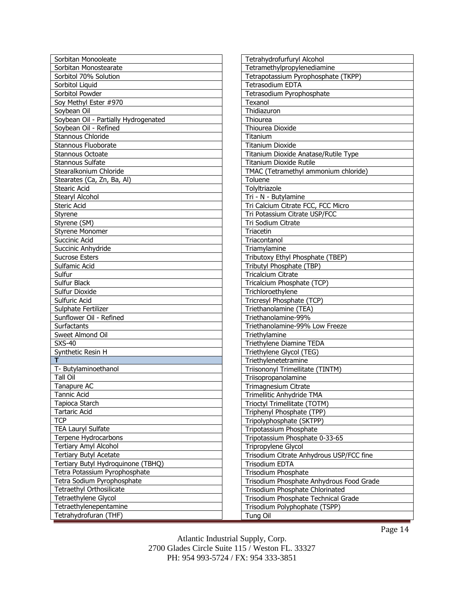| Sorbitan Monooleate                  | Tetrahydrofurfuryl Alcohol               |
|--------------------------------------|------------------------------------------|
| Sorbitan Monostearate                | Tetramethylpropylenediamine              |
| Sorbitol 70% Solution                | Tetrapotassium Pyrophosphate (TKPP)      |
| Sorbitol Liquid                      | Tetrasodium EDTA                         |
| Sorbitol Powder                      | Tetrasodium Pyrophosphate                |
| Soy Methyl Ester #970                | Texanol                                  |
| Soybean Oil                          | Thidiazuron                              |
| Soybean Oil - Partially Hydrogenated | Thiourea                                 |
| Soybean Oil - Refined                | Thiourea Dioxide                         |
| Stannous Chloride                    | Titanium                                 |
| Stannous Fluoborate                  | <b>Titanium Dioxide</b>                  |
| Stannous Octoate                     | Titanium Dioxide Anatase/Rutile Type     |
| Stannous Sulfate                     | <b>Titanium Dioxide Rutile</b>           |
| Stearalkonium Chloride               | TMAC (Tetramethyl ammonium chloride)     |
| Stearates (Ca, Zn, Ba, Al)           | Toluene                                  |
| Stearic Acid                         | Tolyltriazole                            |
| Stearyl Alcohol                      | Tri - N - Butylamine                     |
| Steric Acid                          | Tri Calcium Citrate FCC, FCC Micro       |
| Styrene                              | Tri Potassium Citrate USP/FCC            |
| Styrene (SM)                         | Tri Sodium Citrate                       |
| <b>Styrene Monomer</b>               | Triacetin                                |
| Succinic Acid                        | Triacontanol                             |
| Succinic Anhydride                   | Triamylamine                             |
| <b>Sucrose Esters</b>                | Tributoxy Ethyl Phosphate (TBEP)         |
| Sulfamic Acid                        | Tributyl Phosphate (TBP)                 |
| Sulfur                               | <b>Tricalcium Citrate</b>                |
| Sulfur Black                         | Tricalcium Phosphate (TCP)               |
| Sulfur Dioxide                       | Trichloroethylene                        |
| Sulfuric Acid                        | Tricresyl Phosphate (TCP)                |
| Sulphate Fertilizer                  | Triethanolamine (TEA)                    |
| Sunflower Oil - Refined              | Triethanolamine-99%                      |
| Surfactants                          | Triethanolamine-99% Low Freeze           |
| Sweet Almond Oil                     | Triethylamine                            |
| <b>SXS-40</b>                        | Triethylene Diamine TEDA                 |
| Synthetic Resin H                    | Triethylene Glycol (TEG)                 |
| т                                    | Triethylenetetramine                     |
| T- Butylaminoethanol                 | Triisononyl Trimellitate (TINTM)         |
| <b>Tall Oil</b>                      | Triisopropanolamine                      |
| Tanapure AC                          | Trimagnesium Citrate                     |
| <b>Tannic Acid</b>                   | Trimellitic Anhydride TMA                |
| Tapioca Starch                       | Trioctyl Trimellitate (TOTM)             |
| <b>Tartaric Acid</b>                 | Triphenyl Phosphate (TPP)                |
| <b>TCP</b>                           | Tripolyphosphate (SKTPP)                 |
| <b>TEA Lauryl Sulfate</b>            | Tripotassium Phosphate                   |
| Terpene Hydrocarbons                 | Tripotassium Phosphate 0-33-65           |
| Tertiary Amyl Alcohol                | Tripropylene Glycol                      |
| <b>Tertiary Butyl Acetate</b>        | Trisodium Citrate Anhydrous USP/FCC fine |
| Tertiary Butyl Hydroquinone (TBHQ)   | Trisodium EDTA                           |
| Tetra Potassium Pyrophosphate        | Trisodium Phosphate                      |
| Tetra Sodium Pyrophosphate           | Trisodium Phosphate Anhydrous Food Grade |
| <b>Tetraethyl Orthosilicate</b>      | Trisodium Phosphate Chlorinated          |
| Tetraethylene Glycol                 | Trisodium Phosphate Technical Grade      |
| Tetraethylenepentamine               | Trisodium Polyphophate (TSPP)            |
| Tetrahydrofuran (THF)                | Tung Oil                                 |